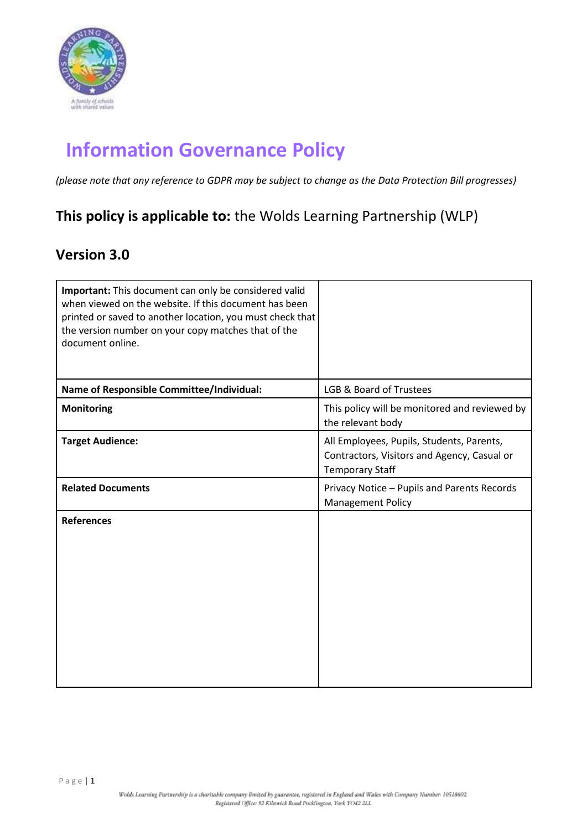

# **Information Governance Policy**

*(please note that any reference to GDPR may be subject to change as the Data Protection Bill progresses)*

# **This policy is applicable to:** the Wolds Learning Partnership (WLP)

# **Version 3.0**

| Important: This document can only be considered valid<br>when viewed on the website. If this document has been<br>printed or saved to another location, you must check that<br>the version number on your copy matches that of the<br>document online. |                                                                                                                    |
|--------------------------------------------------------------------------------------------------------------------------------------------------------------------------------------------------------------------------------------------------------|--------------------------------------------------------------------------------------------------------------------|
| Name of Responsible Committee/Individual:                                                                                                                                                                                                              | LGB & Board of Trustees                                                                                            |
| <b>Monitoring</b>                                                                                                                                                                                                                                      | This policy will be monitored and reviewed by<br>the relevant body                                                 |
| <b>Target Audience:</b>                                                                                                                                                                                                                                | All Employees, Pupils, Students, Parents,<br>Contractors, Visitors and Agency, Casual or<br><b>Temporary Staff</b> |
| <b>Related Documents</b>                                                                                                                                                                                                                               | Privacy Notice - Pupils and Parents Records<br><b>Management Policy</b>                                            |
| <b>References</b>                                                                                                                                                                                                                                      |                                                                                                                    |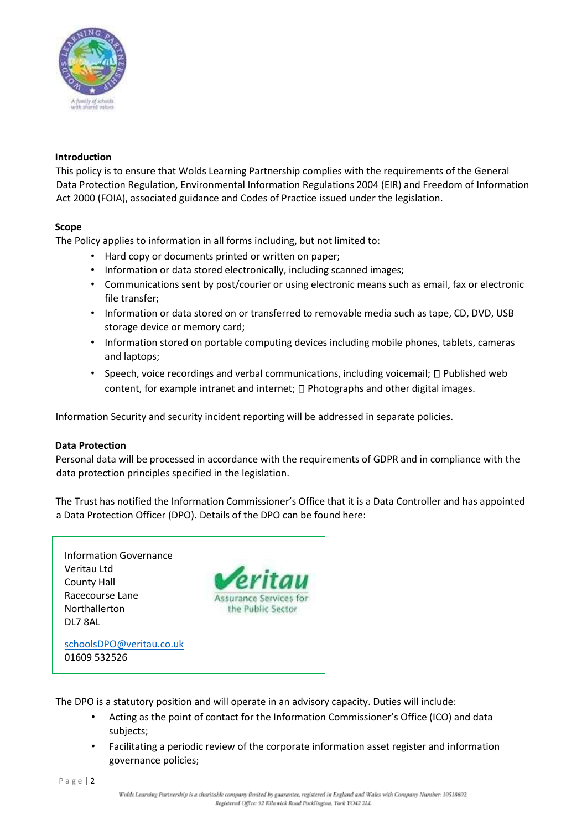

#### **Introduction**

This policy is to ensure that Wolds Learning Partnership complies with the requirements of the General Data Protection Regulation, Environmental Information Regulations 2004 (EIR) and Freedom of Information Act 2000 (FOIA), associated guidance and Codes of Practice issued under the legislation.

#### **Scope**

The Policy applies to information in all forms including, but not limited to:

- Hard copy or documents printed or written on paper;
- Information or data stored electronically, including scanned images;
- Communications sent by post/courier or using electronic means such as email, fax or electronic file transfer;
- Information or data stored on or transferred to removable media such as tape, CD, DVD, USB storage device or memory card;
- Information stored on portable computing devices including mobile phones, tablets, cameras and laptops;
- Speech, voice recordings and verbal communications, including voicemail;  $\Box$  Published web content, for example intranet and internet;  $\Box$  Photographs and other digital images.

Information Security and security incident reporting will be addressed in separate policies.

#### **Data Protection**

Personal data will be processed in accordance with the requirements of GDPR and in compliance with the data protection principles specified in the legislation.

The Trust has notified the Information Commissioner's Office that it is a Data Controller and has appointed a Data Protection Officer (DPO). Details of the DPO can be found here:



The DPO is a statutory position and will operate in an advisory capacity. Duties will include:

- Acting as the point of contact for the Information Commissioner's Office (ICO) and data subjects;
- Facilitating a periodic review of the corporate information asset register and information governance policies;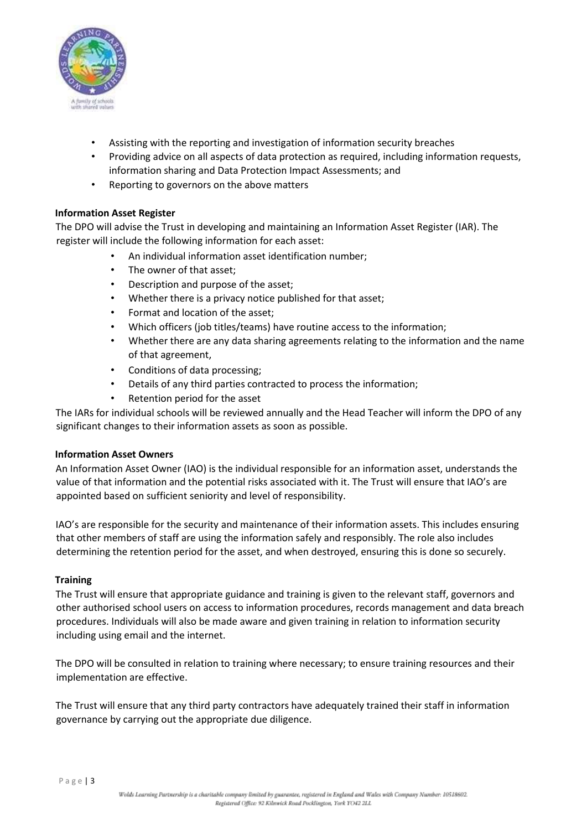

- Assisting with the reporting and investigation of information security breaches
- Providing advice on all aspects of data protection as required, including information requests, information sharing and Data Protection Impact Assessments; and
- Reporting to governors on the above matters

# **Information Asset Register**

The DPO will advise the Trust in developing and maintaining an Information Asset Register (IAR). The register will include the following information for each asset:

- An individual information asset identification number;
- The owner of that asset;
- Description and purpose of the asset;
- Whether there is a privacy notice published for that asset;
- Format and location of the asset;
- Which officers (job titles/teams) have routine access to the information;
- Whether there are any data sharing agreements relating to the information and the name of that agreement,
- Conditions of data processing;
- Details of any third parties contracted to process the information;
- Retention period for the asset

The IARs for individual schools will be reviewed annually and the Head Teacher will inform the DPO of any significant changes to their information assets as soon as possible.

# **Information Asset Owners**

An Information Asset Owner (IAO) is the individual responsible for an information asset, understands the value of that information and the potential risks associated with it. The Trust will ensure that IAO's are appointed based on sufficient seniority and level of responsibility.

IAO's are responsible for the security and maintenance of their information assets. This includes ensuring that other members of staff are using the information safely and responsibly. The role also includes determining the retention period for the asset, and when destroyed, ensuring this is done so securely.

# **Training**

The Trust will ensure that appropriate guidance and training is given to the relevant staff, governors and other authorised school users on access to information procedures, records management and data breach procedures. Individuals will also be made aware and given training in relation to information security including using email and the internet.

The DPO will be consulted in relation to training where necessary; to ensure training resources and their implementation are effective.

The Trust will ensure that any third party contractors have adequately trained their staff in information governance by carrying out the appropriate due diligence.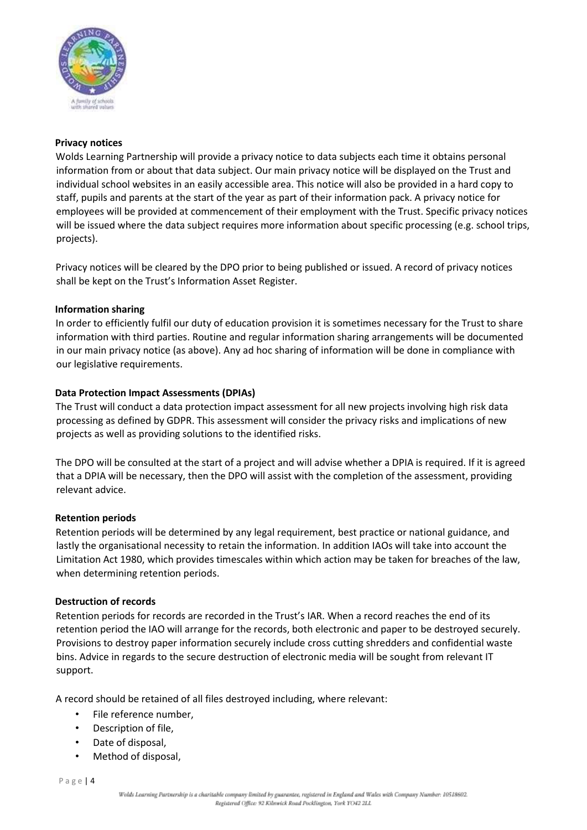

#### **Privacy notices**

Wolds Learning Partnership will provide a privacy notice to data subjects each time it obtains personal information from or about that data subject. Our main privacy notice will be displayed on the Trust and individual school websites in an easily accessible area. This notice will also be provided in a hard copy to staff, pupils and parents at the start of the year as part of their information pack. A privacy notice for employees will be provided at commencement of their employment with the Trust. Specific privacy notices will be issued where the data subject requires more information about specific processing (e.g. school trips, projects).

Privacy notices will be cleared by the DPO prior to being published or issued. A record of privacy notices shall be kept on the Trust's Information Asset Register.

#### **Information sharing**

In order to efficiently fulfil our duty of education provision it is sometimes necessary for the Trust to share information with third parties. Routine and regular information sharing arrangements will be documented in our main privacy notice (as above). Any ad hoc sharing of information will be done in compliance with our legislative requirements.

# **Data Protection Impact Assessments (DPIAs)**

The Trust will conduct a data protection impact assessment for all new projects involving high risk data processing as defined by GDPR. This assessment will consider the privacy risks and implications of new projects as well as providing solutions to the identified risks.

The DPO will be consulted at the start of a project and will advise whether a DPIA is required. If it is agreed that a DPIA will be necessary, then the DPO will assist with the completion of the assessment, providing relevant advice.

#### **Retention periods**

Retention periods will be determined by any legal requirement, best practice or national guidance, and lastly the organisational necessity to retain the information. In addition IAOs will take into account the Limitation Act 1980, which provides timescales within which action may be taken for breaches of the law, when determining retention periods.

#### **Destruction of records**

Retention periods for records are recorded in the Trust's IAR. When a record reaches the end of its retention period the IAO will arrange for the records, both electronic and paper to be destroyed securely. Provisions to destroy paper information securely include cross cutting shredders and confidential waste bins. Advice in regards to the secure destruction of electronic media will be sought from relevant IT support.

A record should be retained of all files destroyed including, where relevant:

- File reference number,
- Description of file,
- Date of disposal.
- Method of disposal,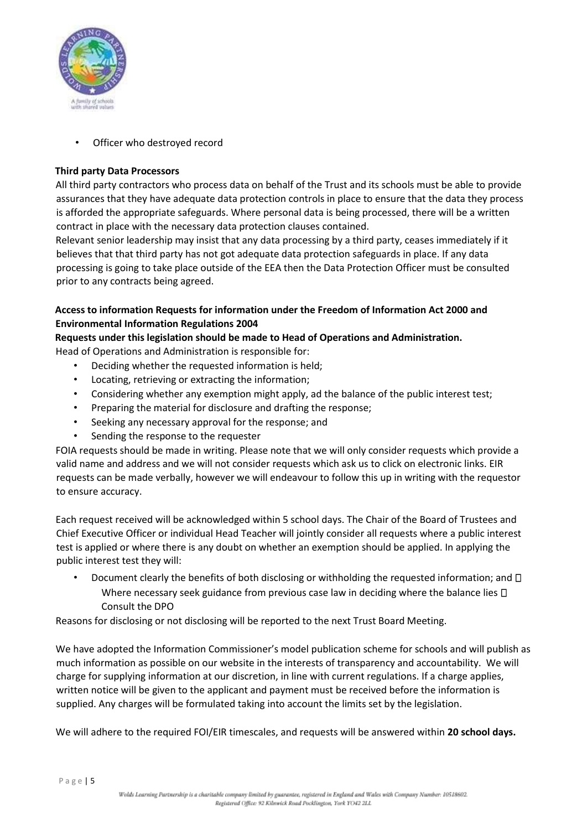

Officer who destroyed record

# **Third party Data Processors**

All third party contractors who process data on behalf of the Trust and its schools must be able to provide assurances that they have adequate data protection controls in place to ensure that the data they process is afforded the appropriate safeguards. Where personal data is being processed, there will be a written contract in place with the necessary data protection clauses contained.

Relevant senior leadership may insist that any data processing by a third party, ceases immediately if it believes that that third party has not got adequate data protection safeguards in place. If any data processing is going to take place outside of the EEA then the Data Protection Officer must be consulted prior to any contracts being agreed.

# **Access to information Requests for information under the Freedom of Information Act 2000 and Environmental Information Regulations 2004**

# **Requests under this legislation should be made to Head of Operations and Administration.**

Head of Operations and Administration is responsible for:

- Deciding whether the requested information is held;
- Locating, retrieving or extracting the information;
- Considering whether any exemption might apply, ad the balance of the public interest test;
- Preparing the material for disclosure and drafting the response;
- Seeking any necessary approval for the response; and
- Sending the response to the requester

FOIA requests should be made in writing. Please note that we will only consider requests which provide a valid name and address and we will not consider requests which ask us to click on electronic links. EIR requests can be made verbally, however we will endeavour to follow this up in writing with the requestor to ensure accuracy.

Each request received will be acknowledged within 5 school days. The Chair of the Board of Trustees and Chief Executive Officer or individual Head Teacher will jointly consider all requests where a public interest test is applied or where there is any doubt on whether an exemption should be applied. In applying the public interest test they will:

Document clearly the benefits of both disclosing or withholding the requested information; and  $\Box$ Where necessary seek guidance from previous case law in deciding where the balance lies  $\Box$ Consult the DPO

Reasons for disclosing or not disclosing will be reported to the next Trust Board Meeting.

We have adopted the Information Commissioner's model publication scheme for schools and will publish as much information as possible on our website in the interests of transparency and accountability. We will charge for supplying information at our discretion, in line with current regulations. If a charge applies, written notice will be given to the applicant and payment must be received before the information is supplied. Any charges will be formulated taking into account the limits set by the legislation.

We will adhere to the required FOI/EIR timescales, and requests will be answered within **20 school days.**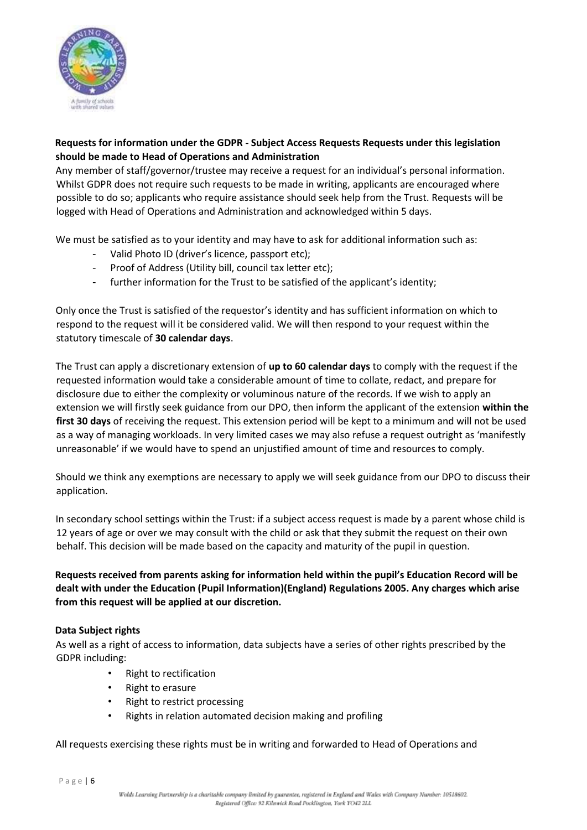

# **Requests for information under the GDPR - Subject Access Requests Requests under this legislation should be made to Head of Operations and Administration**

Any member of staff/governor/trustee may receive a request for an individual's personal information. Whilst GDPR does not require such requests to be made in writing, applicants are encouraged where possible to do so; applicants who require assistance should seek help from the Trust. Requests will be logged with Head of Operations and Administration and acknowledged within 5 days.

We must be satisfied as to your identity and may have to ask for additional information such as:

- Valid Photo ID (driver's licence, passport etc);
- Proof of Address (Utility bill, council tax letter etc);
- further information for the Trust to be satisfied of the applicant's identity;

Only once the Trust is satisfied of the requestor's identity and has sufficient information on which to respond to the request will it be considered valid. We will then respond to your request within the statutory timescale of **30 calendar days**.

The Trust can apply a discretionary extension of **up to 60 calendar days** to comply with the request if the requested information would take a considerable amount of time to collate, redact, and prepare for disclosure due to either the complexity or voluminous nature of the records. If we wish to apply an extension we will firstly seek guidance from our DPO, then inform the applicant of the extension **within the first 30 days** of receiving the request. This extension period will be kept to a minimum and will not be used as a way of managing workloads. In very limited cases we may also refuse a request outright as 'manifestly unreasonable' if we would have to spend an unjustified amount of time and resources to comply.

Should we think any exemptions are necessary to apply we will seek guidance from our DPO to discuss their application.

In secondary school settings within the Trust: if a subject access request is made by a parent whose child is 12 years of age or over we may consult with the child or ask that they submit the request on their own behalf. This decision will be made based on the capacity and maturity of the pupil in question.

**Requests received from parents asking for information held within the pupil's Education Record will be dealt with under the Education (Pupil Information)(England) Regulations 2005. Any charges which arise from this request will be applied at our discretion.** 

# **Data Subject rights**

As well as a right of access to information, data subjects have a series of other rights prescribed by the GDPR including:

- Right to rectification
- Right to erasure
- Right to restrict processing
- Rights in relation automated decision making and profiling

All requests exercising these rights must be in writing and forwarded to Head of Operations and

P a g e | 6